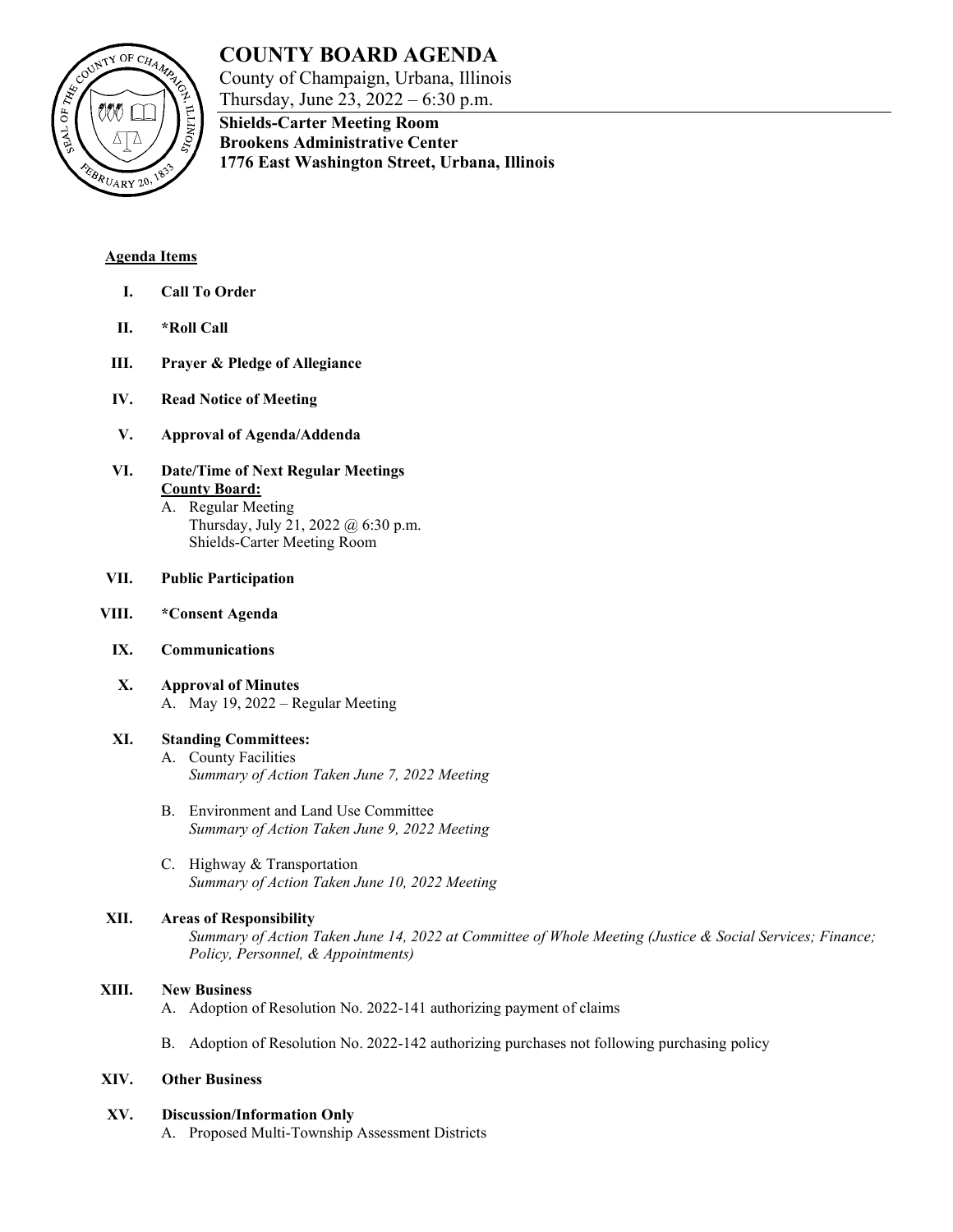

# **COUNTY BOARD AGENDA**

County of Champaign, Urbana, Illinois Thursday, June 23, 2022 – 6:30 p.m.

**1776 East Washington Street, Urbana, Illinois**

**Shields-Carter Meeting Room Brookens Administrative Center**

**Agenda Items**

- **I. Call To Order**
- **II. \*Roll Call**
- **III. Prayer & Pledge of Allegiance**
- **IV. Read Notice of Meeting**
- **V. Approval of Agenda/Addenda**
- **VI. Date/Time of Next Regular Meetings County Board:**
	- A. Regular Meeting Thursday, July 21, 2022 @ 6:30 p.m. Shields-Carter Meeting Room
- **VII. Public Participation**
- **VIII. \*Consent Agenda**
	- **IX. Communications**
	- **X. Approval of Minutes** A. May 19, 2022 – Regular Meeting

## **XI. Standing Committees:**

- A. County Facilities *Summary of Action Taken June 7, 2022 Meeting*
- B. Environment and Land Use Committee *Summary of Action Taken June 9, 2022 Meeting*
- C. Highway & Transportation *Summary of Action Taken June 10, 2022 Meeting*

## **XII. Areas of Responsibility**

*Summary of Action Taken June 14, 2022 at Committee of Whole Meeting (Justice & Social Services; Finance; Policy, Personnel, & Appointments)*

## **XIII. New Business**

- A. Adoption of Resolution No. 2022-141 authorizing payment of claims
- B. Adoption of Resolution No. 2022-142 authorizing purchases not following purchasing policy

## **XIV. Other Business**

#### **XV. Discussion/Information Only**

A. Proposed Multi-Township Assessment Districts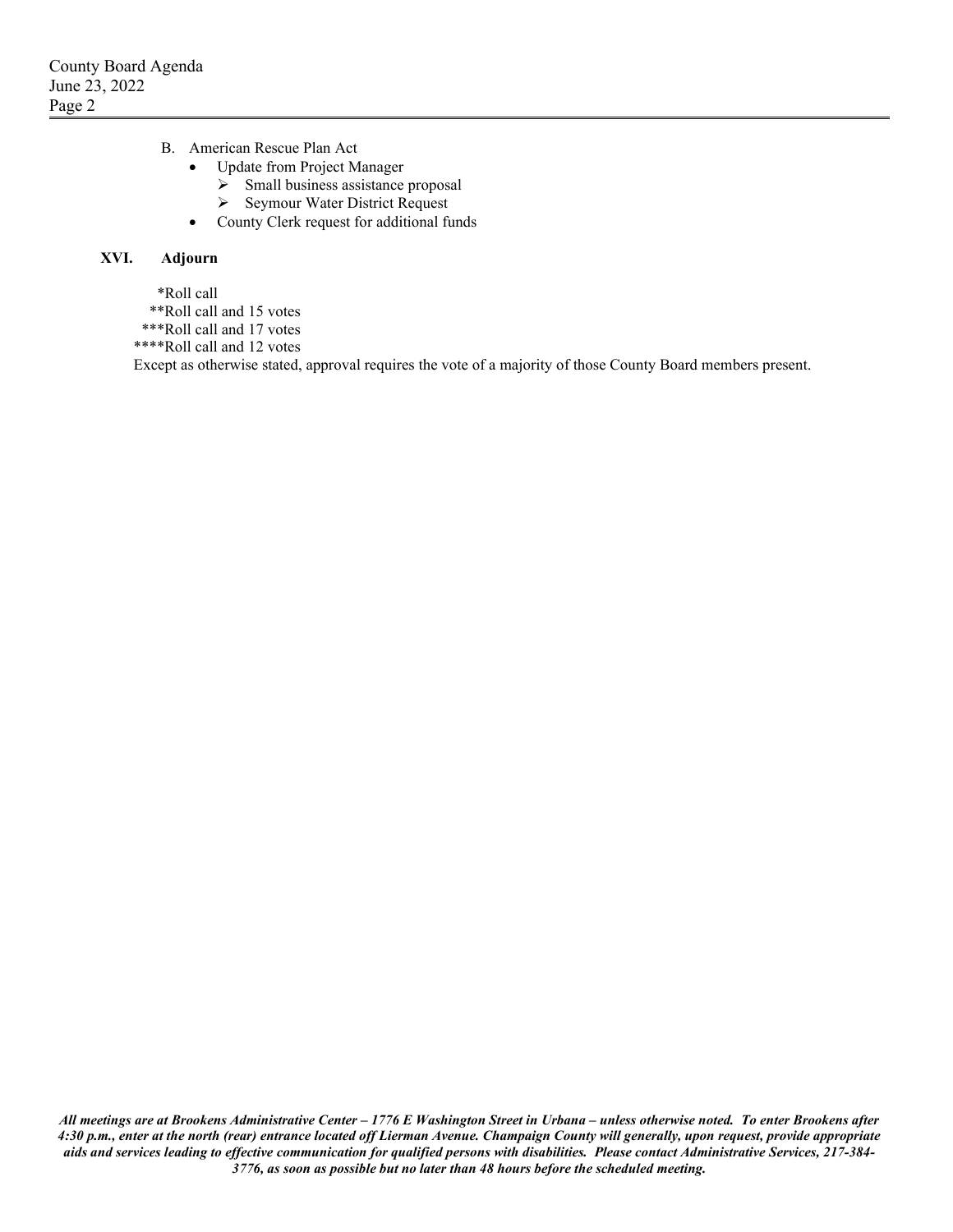- B. American Rescue Plan Act
	- Update from Project Manager
		- $\triangleright$  Small business assistance proposal
		- Seymour Water District Request
	- County Clerk request for additional funds

## **XVI. Adjourn**

- \*Roll call
- \*\*Roll call and 15 votes
- \*\*\*Roll call and 17 votes
- \*\*\*\*Roll call and 12 votes

Except as otherwise stated, approval requires the vote of a majority of those County Board members present.

*All meetings are at Brookens Administrative Center – 1776 E Washington Street in Urbana – unless otherwise noted. To enter Brookens after 4:30 p.m., enter at the north (rear) entrance located off Lierman Avenue. Champaign County will generally, upon request, provide appropriate aids and services leading to effective communication for qualified persons with disabilities. Please contact Administrative Services, 217-384- 3776, as soon as possible but no later than 48 hours before the scheduled meeting.*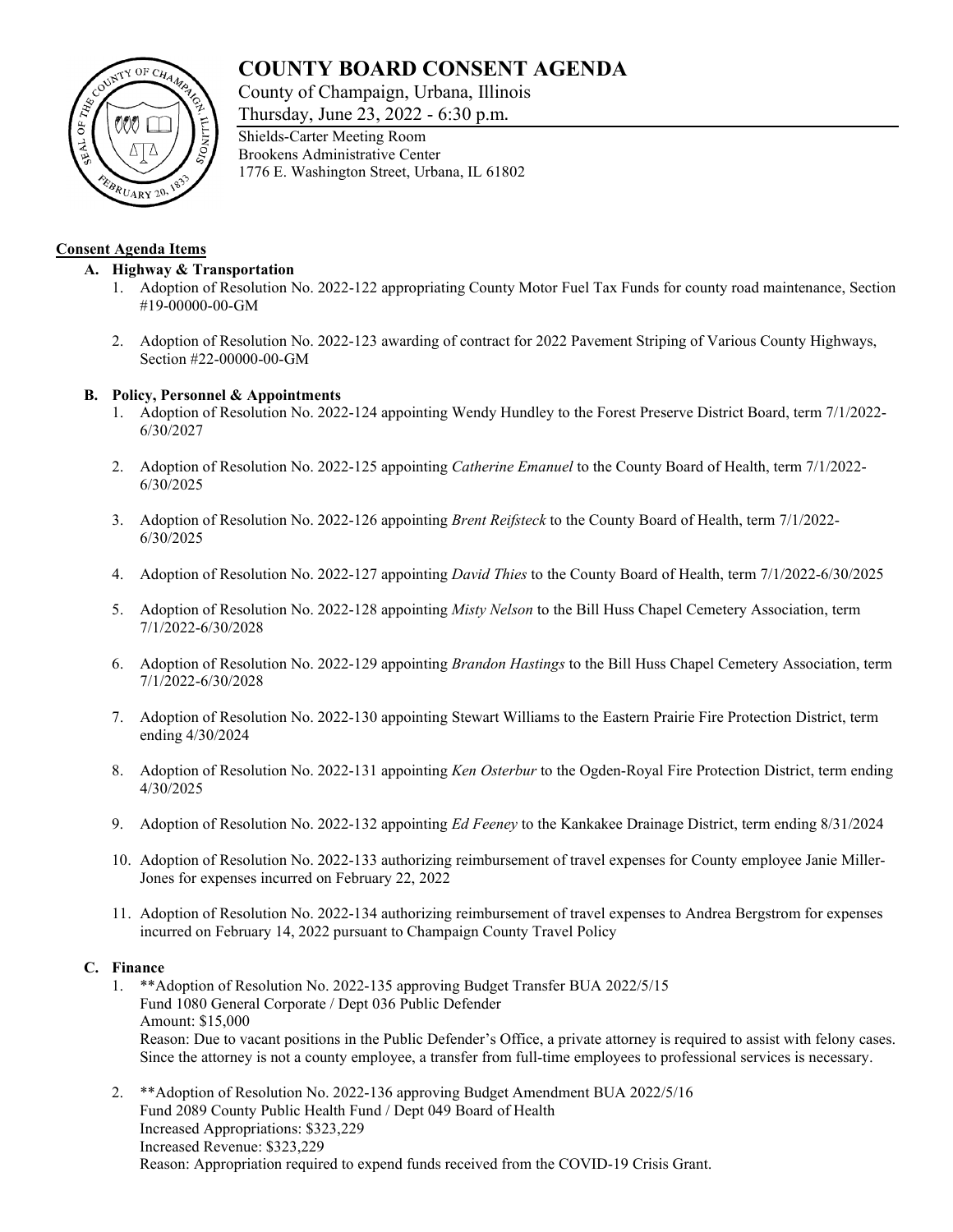## **COUNTY BOARD CONSENT AGENDA**

County of Champaign, Urbana, Illinois

Thursday, June 23, 2022 - 6:30 p.m.



#### **Consent Agenda Items**

#### **A. Highway & Transportation**

- 1. Adoption of Resolution No. 2022-122 appropriating County Motor Fuel Tax Funds for county road maintenance, Section #19-00000-00-GM
- 2. Adoption of Resolution No. 2022-123 awarding of contract for 2022 Pavement Striping of Various County Highways, Section #22-00000-00-GM

#### **B. Policy, Personnel & Appointments**

- 1. Adoption of Resolution No. 2022-124 appointing Wendy Hundley to the Forest Preserve District Board, term 7/1/2022- 6/30/2027
- 2. Adoption of Resolution No. 2022-125 appointing *Catherine Emanuel* to the County Board of Health, term 7/1/2022- 6/30/2025
- 3. Adoption of Resolution No. 2022-126 appointing *Brent Reifsteck* to the County Board of Health, term 7/1/2022- 6/30/2025
- 4. Adoption of Resolution No. 2022-127 appointing *David Thies* to the County Board of Health, term 7/1/2022-6/30/2025
- 5. Adoption of Resolution No. 2022-128 appointing *Misty Nelson* to the Bill Huss Chapel Cemetery Association, term 7/1/2022-6/30/2028
- 6. Adoption of Resolution No. 2022-129 appointing *Brandon Hastings* to the Bill Huss Chapel Cemetery Association, term 7/1/2022-6/30/2028
- 7. Adoption of Resolution No. 2022-130 appointing Stewart Williams to the Eastern Prairie Fire Protection District, term ending 4/30/2024
- 8. Adoption of Resolution No. 2022-131 appointing *Ken Osterbur* to the Ogden-Royal Fire Protection District, term ending 4/30/2025
- 9. Adoption of Resolution No. 2022-132 appointing *Ed Feeney* to the Kankakee Drainage District, term ending 8/31/2024
- 10. Adoption of Resolution No. 2022-133 authorizing reimbursement of travel expenses for County employee Janie Miller-Jones for expenses incurred on February 22, 2022
- 11. Adoption of Resolution No. 2022-134 authorizing reimbursement of travel expenses to Andrea Bergstrom for expenses incurred on February 14, 2022 pursuant to Champaign County Travel Policy

#### **C. Finance**

- 1. \*\*Adoption of Resolution No. 2022-135 approving Budget Transfer BUA 2022/5/15 Fund 1080 General Corporate / Dept 036 Public Defender Amount: \$15,000 Reason: Due to vacant positions in the Public Defender's Office, a private attorney is required to assist with felony cases. Since the attorney is not a county employee, a transfer from full-time employees to professional services is necessary.
- 2. \*\*Adoption of Resolution No. 2022-136 approving Budget Amendment BUA 2022/5/16 Fund 2089 County Public Health Fund / Dept 049 Board of Health Increased Appropriations: \$323,229 Increased Revenue: \$323,229 Reason: Appropriation required to expend funds received from the COVID-19 Crisis Grant.

Shields-Carter Meeting Room Brookens Administrative Center 1776 E. Washington Street, Urbana, IL 61802